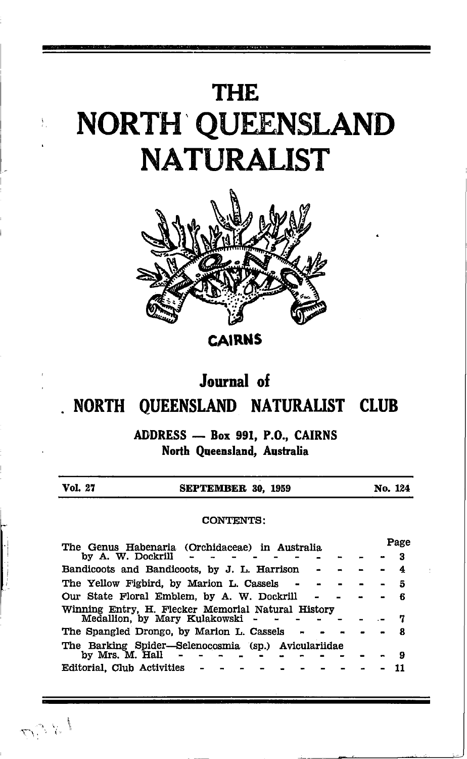# **THE** NORTH QUEENSLAND **NATURALIST**



**CAIRNS** 

### Journal of

#### NORTH QUEENSLAND NATURALIST CLUB

ADDRESS - Box 991, P.O., CAIRNS North Queensland, Australia

| Vol. 27           | SEPTEMBER 30, 1959                                  | No. 124 |
|-------------------|-----------------------------------------------------|---------|
|                   | <b>CONTENTS:</b>                                    |         |
|                   | The Genus Habenaria (Orchidaceae) in Australia      | Page    |
| by A. W. Dockrill |                                                     | 3       |
|                   | Bandicoots and Bandicoots, by J. L. Harrison        | 4       |
|                   | The Yellow Figbird, by Marion L. Cassels            | 5       |
|                   | Our State Floral Emblem, by A. W. Dockrill          | ß       |
|                   | Winning Entry, H. Flecker Memorial Natural History  |         |
|                   | Medallion, by Mary Kulakowski                       | 7       |
|                   | The Spangled Drongo, by Marion L. Cassels           | я       |
|                   | The Barking Spider-Selenocosmia (sp.) Aviculariidae |         |
| by Mrs. M. Hall   |                                                     | 9       |

11

いちく

Editorial, Club Activities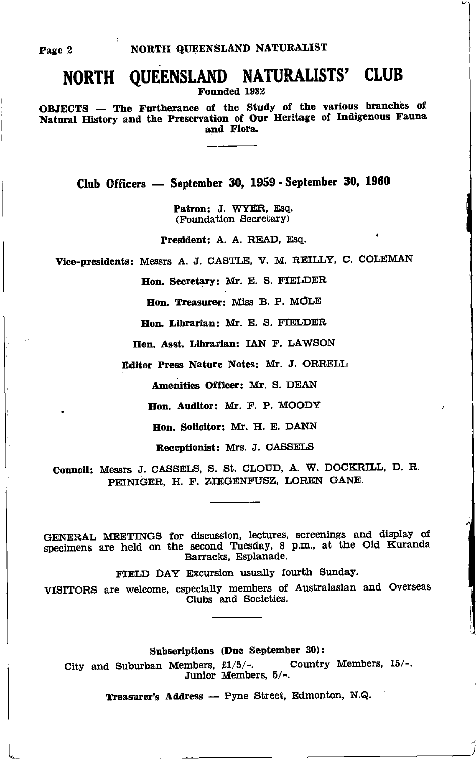## NORTH QUEENSLAND NATURALISTS' CLUB

Founded 1932

OBJECTS - The Furtherance of the Study of the various branches of Natural History and the Preservation of Our Heritage of Indigenous Fauna and Flora.

Club Officers - September 30, 1959 - September 30, 1960

Patron: J. WYER, Esq. (Foundation Secretary)

President: A. A. READ, Esq.

Vice-presidents: Messrs A. J. CASTLE, V. M. REILLY, C. COLEMAN

Hon. Secretary: Mr. E. S. FIELDER

Hon. Treasurer: Miss B. P. MOLE

Hon. Librarian: Mr. E. S. FIELDER

Hon. Asst. Librarian: IAN F. LAWSON

Editor Press Nature Notes: Mr. J. ORRELL

Amenities Officer: Mr. S. DEAN

Hon. Auditor: Mr. F. P. MOODY

Hon. Solicitor: Mr. H. E. DANN

Receptionist: Mrs. J. CASSELS

Council: Messrs J. CASSELS, S. St. CLOUD, A. W. DOCKRILL, D. R. PEINIGER, H. F. ZIEGENFUSZ, LOREN GANE.

GENERAL MEETINGS for discussion, lectures, screenings and display of specimens are held on the second Tuesday, 8 p.m., at the Old Kuranda Barracks, Esplanade.

FIELD DAY Excursion usually fourth Sunday.

VISITORS are welcome, especially members of Australasian and Overseas Clubs and Societies.

Subscriptions (Due September 30):

Country Members, 15/-. City and Suburban Members, £1/5/-. Junior Members, 5/-.

Treasurer's Address - Pyne Street, Edmonton, N.Q.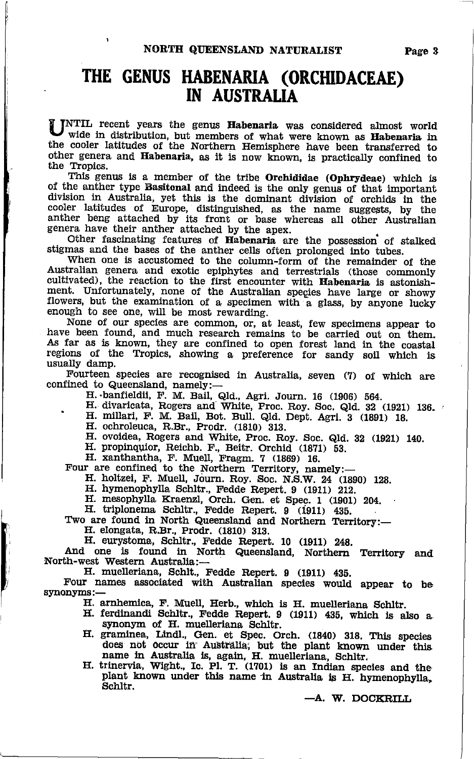## THE GENUS HABENARIA (ORCHIDACEAE) IN AUSTRALIA

UNTIL recent years the genus Habenaria was considered almost world wide in distribution, but members of what were known as Habenaria in the cooler latitudes of the Northern Hemisphere have been transferred to other genera

This genus is a member of the tribe Orchididae (Ophrydeae) which is<br>of the anther type Basitonal and indeed is the only genus of that important<br>division in Australia, yet this is the dominant division of orchids in the<br>coo

genera have their anther attached by the apex.<br>Other fascinating features of Habenaria are the possession of stalked Other fascinating features of **Habenaria** are the possession of stalked stigmas and the bases of the anther cells often prolonged into tubes. When one is accustomed to the column-form of the remainder of the

Australian genera and exotic epiphytes and terrestrials (those commonly cultivated), the reaction to the first encounter with **Habenaria** is astonishment. Unfortunately, none of the Australian species have large or showy f enough to see one, will be most rewarding.

None of our species are common, or, at least, few specimens appear to have been found, and much research remains to be carried out on them. As far as is known, they are confined to open forest land in the coastal regions o usually damp.<br>Fourteen species are recognised in Australia, seven (7) of which are

Fourteen species are recognised in Australia, seven (7) of which are confined to Queensland, namely:—

H. banfieldii, F. M. Bail, Qld., Agri. Journ. 16 (1906) 564.

- H. divaricata, Rogers and White, Proc. Roy. Soc. Qld. 32 (1921) 136. 4<br>H. millari, F. M. Bail, Bot. Bull. Qld. Dept. Agri. 3 (1891) 18.
	-
	-
- EI. ochroleuca, R.Br., Prodr. (1810) 813. II. ovoidea, Rogers and White, Proc. Roy. Soc. Qld. 82 (1921) 140.<br>II. propinquior, Reichb. F., Beitr. Orchid (1871) 53. II. xanthantha, F. Muell, Fragm. 7 (1869) 16. Four are conf
	-

H. holtzei, F. Muell, Journ. Roy. Soc. N.S.W. 24 (1890) 128.<br>H. hymenophylla Schltr., Fedde Repert. 9 (1911) 212.<br>H. mesophylla Kraenzl, Orch. Gen. et Spec. 1 (1901) 204.<br>H. triplonema Schltr., Fedde Repert. 9 (1911) 435.

Two are found in North Queensland and Northern Territory:-

EI. elongata, Fl.Br., Prodr. (1810) g1B.

H. eurystoma, Schltr., Fedde Repert. 10 (1911) 248.<br>And one is found in North Queensland, Northern Territory and EI. muellerlana, Schlt., Fedde Repert. 9 (1911) 435.<br>
H. muellerlana, Schlt., Fedde Repert. 9 (1911) 435.<br>
Four names associated with Australian species would appear to be

synonyms:--<br>H. arnhemica, F. Muell, Herb., which is H. muelleriana Schltr.

- H. ferdinandi Schltr., Fedde Repert. 9 (1911) 435, which is also a synonym of H. muelleriana Schltr.
- synonym of H. muellerlana Schltr.<br>
H. graminea, Lindl., Gen. et Spec. Orch. (1840) 318. This species<br>
does not occur in Australia, but the plant known under this
- name in Australia is, again, H. muelleriana, Schltr.<br>H. trinervia, Wight., Ic. Pl. T. (1701) is an Indian species and the plant known under this name in Australia is H. hymenophylla, Schltr.

-A. W. DOCKRILL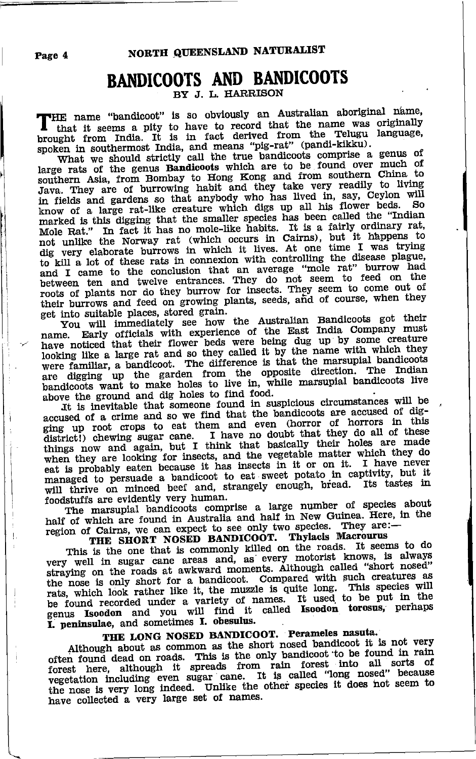#### **BANDICOOTS AND BANDICOOTS** BY J. J. HARRISON

THE name "bandicoot" is so obviously an Australian aboriginal name, I that it seems a pity to have to record that the name was originally brought from India. It is in fact derived from the Telugu language, spoken in southermost India, and means "pig-rat" (pandi-kikku).<br>What we should strictly call the true bandicoots comprise a genus of

large rats of the genus Bandicoots which are to be found over much of southern Asia, from Bombay to Hong Kong and from southern China to Java. They are of burrowing habit and they take very readily to living<br>in fields and gardens so that anybody who has lived in, say, Ceylon will know of a large rat-like creature which digs up all his flower beds. So marked is this digging that the smaller species has been called the "Indian Mole Rat." In fact it has no mole-like habits. It is a fairly ordinary rat,<br>not unlike the Norway rat (which occurs in Cairns), but it happens to<br>dig very elaborate burrows in which it lives. At one time I was trying<br>the l to kill a lot of these rats in connexion with controlling the disease plague, and I came to the conclusion that an average "mole rat" burrow had<br>between ten and twelve entrances. They do not seem to feed on the<br>roots of plants nor do they burrow for insects. They seem to come out of their burrows and feed on growing plants, seeds, and of course, when they get into suitable places, stored grain.

Sou muo survante praces, source stand.<br>
You will immediately see how the Australian Bandicoots got their<br>
name. Early officials with experience of the East India Company must<br>
have noticed that their flower beds were being were familiar, a bandicoot. The difference is that the marsupial bandicoots are digging up the garden from the opposite direction. The Indian bandicoots want to make holes to live in, while marsupial bandicoots live above the ground and dig holes to find food.

It is inevitable that someone found in suspicious circumstances will be accused of a crime and so we find that the bandicoots are accused of digging up root crops to eat them and even (horror of horrors in this district!) chewing sugar cane. I have no doubt that they do all of these things now and again, but I think that basically their holes are made when they are looking for insects, and the vegetable matter which they do eat is probably eaten because it has insects in it or on it. I have never managed to persuade a bandicoot to eat sweet potato in captivity, but it will thrive on minced beef and, strangely enough, bread. Its tastes in foodstuffs are evidently very human.

The marsupial bandicoots comprise a large number of species about half of which are found in Australia and half in New Guinea. Here, in the region of Cairns, we can expect to see only two species. They are:

THE SHORT NOSED BANDICOOT. Thylacis Macrourus

This is the one that is commonly killed on the roads. It seems to do very well in sugar cane areas and, as every motorist knows, is always straying on the roads at awkward moments. Although called "short nosed" the nose is only short for a bandicoot. Compared with such creatures as rats, which look rather like it, the muzzle is quite long. This species will be found recorded under a variety of names. It used to be put in the genus Isoodon and you will find it called Isoodon torosus, perhaps I. peninsulae, and sometimes I. obesulus.

#### THE LONG NOSED BANDICOOT. Perameles nasuta.

Although about as common as the short nosed bandicoot it is not very often found dead on roads. This is the only bandicoot to be found in rain forest here, although it spreads from rain forest into all sorts of vegetation including even sugar cane. It is called "long nosed" because the nose is very long indeed. Unlike the other species it does not seem to have collected a very large set of names.

Page 4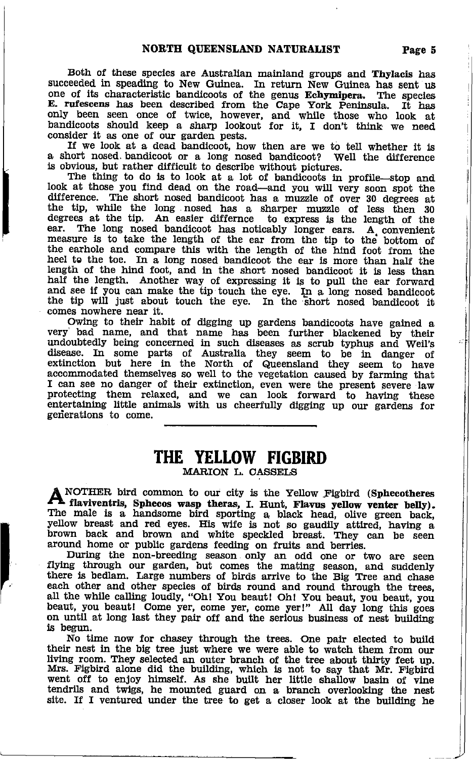Both of these species are Australian mainland groups and Thylacis has succeeded in speading to New Guinea. In return New Guinea has sent us one of its characteristic bandicoots of the genus Echymipera. The species one of its characteristic bandicoots of the genus Echymipera. The species E. rufescens has been described from the Cape York Peninsula. It has only been seen once of twice, however, and while those who look at bandicoots should keep a sharp lookout for it, I don't think we need consider it as one of our garden pests.<br>If we look at a dead bandicoot, how then are we to tell whether it is

a short nosed. bandicoot or a long nosed bandicoot? Well the difference is obvlous, but rather difficult to describe without pictures.

The thing to do is to look at a lot of bandicoots in profile-stop and look at those you find dead on the road-and you will very soon spot the difference. The short nosed bandicoot has a muzzle of over 30 degrees at difference. The short nosed bandicoot has a muzzle of over 30 degrees at the tip, while the long nosed has a sharper muzzle of less then 30 degrees at the tip. An easier differnce to express is the length of the ear. The long nosed bandicoot has noticably longer ears. A\_ convenient ear. The long nosed bandicoot has noticably longer ears. A convenient measure is to take the length of the ear from the tip to the bottom of the earhole and compare this with the length of the hind foot from the heel to th length of the hind foot, and in the short nosed bandicoot it is less than half the length. Another way of expressing it is to pull the ear forward and see if you can make the tip touch the eye. In a long nosed bandicoot the tip will just about touch the eye. In the short nosed bandicoot it comes nowhere near it.

Owing to their habit of digging up gardens bandicoots have gained a very' bad name, and that name has been further blackened by their undoubtedly being concerned in such diseases as scrub typhus and Weil's<br>disease. In some parts of Australia they seem to be in danger of<br>extinction but here in the North of Queensland they seem to have accommodated themselves so well to the vegetation caused by farming that I can see no danger of their extinction, even were the present severe law protecting them relaxed, and we can look forward to having these entertaining little animals with us cheerfully digging up our gardens for generations to come.

#### THE YELLOW FIGBIRD

MARION L. CASSELS

**ANOTHER bird common to our city is the Yellow Fighird (Sphecotheres flaviventris, Sphecos wasp theras, I. Hunt, Flavus yellow venter belly).** The male is a handsome bird sporting a black head, olive green back, yellow bre brown back and brown and white speckled breast. They can be seen around home or public gardens feeding on fruits and berries.

During the non-breeding season only an odd one or two are seen flying through our garden, but comes the mating season, and suddenly there is bedlam. Large numbers of birds arrive to the Big Tree and chase each other and other species of birds round and round through the trees, all the while calling loudly, "Oh! You beaut! Oh! You beaut, you beaut, you beaut, you beaut! Come yer, come yer, come yer!" All day long this goes on until at long last they pair off and the serious business of nest building i,s begun.

No time now for chasey through the trees. One pair elected to build their nest in the big tree just where we were able to watch them from our Iiving room. They selected an outer branch of the tree about thirty feet up. Mrs. Figbird alone did the building, which is not to say that Mr. Figbird went off to enjoy himself. As she built her little shallow basin of vine tendrils and twigs, he mounted guard on a branch overlooking the nest tendrils and twigs, he mounted guard on a branch overlooking the nest site. If I ventured under the tree to get a closer look at the building he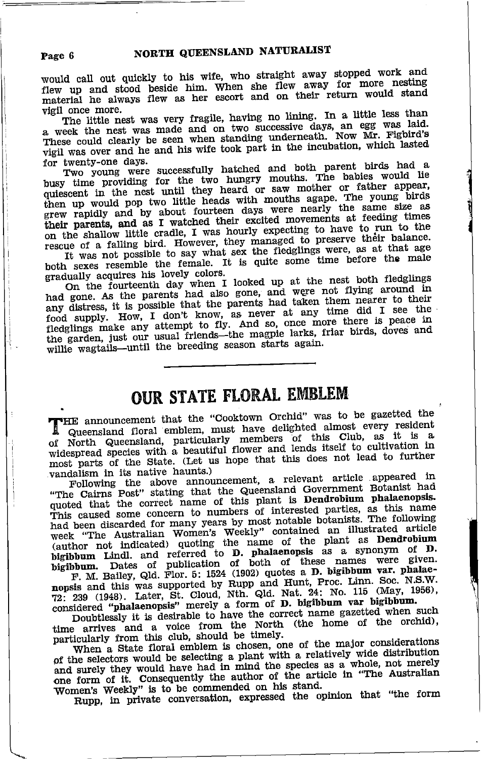would call out quickly to his wife, who straight away stopped work and flew up and stood beside him. When she flew away for more nesting material he always flew as her escort and on their return would stand vigil once more.

The little nest was very fragile, having no lining. In a little less than a week the nest was made and on two successive days, an egg was laid.<br>These could clearly be seen when standing underneath. Now Mr. Fighird's vigil was over and he and his wife took part in the incubation, which lasted for twenty-one days.

Two young were successfully hatched and both parent birds had a busy time providing for the two hungry mouths. The babies would lie quiescent in the nest until they heard or saw mother or father appear, then up would pop two little heads with mouths agape. The young birds grew rapidly and by about fourteen days were nearly the same size as their parents, and as I watched their excited movements at feeding times on the shallow little cradle, I was hourly expecting to have to run to the rescue of a falling bird. However, they managed to preserve their balance. It was not possible to say what sex the fledglings were, as at that age

both sexes resemble the female. It is quite some time before the male gradually acquires his lovely colors.

On the fourteenth day when I looked up at the nest both fledglings had gone. As the parents had also gone, and were not flying around in any distress, it is possible that the parents had taken them nearer to their food supply. How, I don't know, as never at any time did I see the fledglings make any attempt to fly. And so, once more there is peace in the garden, just our usual friends—the magpie larks, friar birds, doves and willie wagtails-until the breeding season starts again.

## **OUR STATE FLORAL EMBLEM**

THE announcement that the "Cooktown Orchid" was to be gazetted the Queensland floral emblem, must have delighted almost every resident of North Queensland, particularly members of this Club, as it is a widespread species with a beautiful flower and lends itself to cultivation in most parts of the State. (Let us hope that this does not lead to further vandalism in its native haunts.)

Following the above announcement, a relevant article appeared in "The Cairns Post" stating that the Queensland Government Botanist had quoted that the correct name of this plant is **Dendrobium** phalaenpsis.<br>This caused some concern to numbers of interested parties, as this name had been discarded for many years by most notable botanists. The following week "The Australian Women's Weekly" contained an illustrated article (author not indicated) quoting the name of the plant as Dendrobium bigibbum Lindl. and referred to D. phalaenopsis as a synonym of D. bigibbum. Dates of publication of both of these names were given.

F. M. Bailey, Qld. Flor. 5: 1524 (1902) quotes a D. bigibbum var. phalaenopsis and this was supported by Rupp and Hunt, Proc. Linn. Soc. N.S.W. 72: 239 (1948). Later, St. Cloud, Nth. Qld. Nat. 24: No. 115 (May, 1956), considered "phalaenopsis" merely a form of D. bigibbum var bigibbum.

Doubtlessly it is desirable to have the correct name gazetted when such time arrives and a voice from the North (the home of the orchid), particularly from this club, should be timely.

When a State floral emblem is chosen, one of the major considerations of the selectors would be selecting a plant with a relatively wide distribution and surely they would have had in mind the species as a whole, not merely one form of it. Consequently the author of the article in "The Australian Women's Weekly" is to be commended on his stand.

Rupp, in private conversation, expressed the opinion that "the form

#### Page 6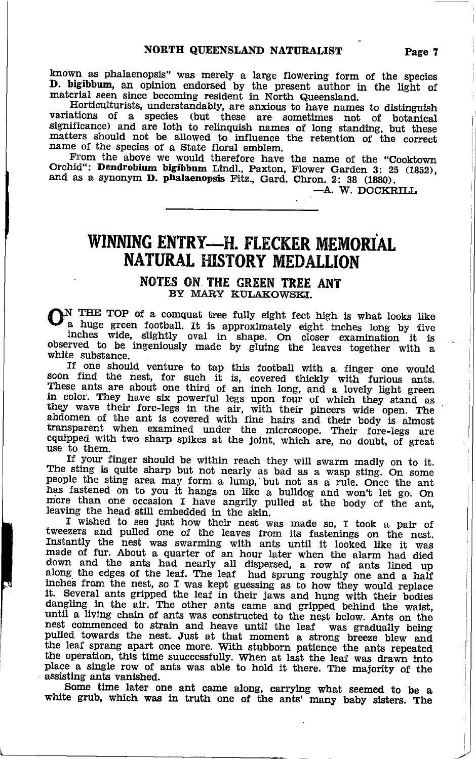known as phalaenopsis" was merely a large flowering form of the species D. bigibbum, an opinion endorsed by the present author in the light of material seen since becoming resident in North Queensland.

Horticulturists, understandably, are anxious to have names to distinguish variations of a species (but these are sometimes not of botanical significance) and are loth to relinquish names of long standing, but these matters should not be allowed to influence the retention of the correct name of the species of a State floral emblem.

From the above we would therefore have the name of the "Cooktown Orchid": Dendrobium bigibbum Lindl., Paxton, Flower Garden 3: 25 (1852), and as a synonym D. phalaenopsis Fitz., Gard. Chron. 2: 38 (1880).

-A. W. DOCKRILL

## WINNING ENTRY-H. FLECKER MEMORIAL **NATURAL HISTORY MEDALLION**

#### NOTES ON THE GREEN TREE ANT BY MARY KULAKOWSKI.

N THE TOP of a comquat tree fully eight feet high is what looks like a huge green football. It is approximately eight inches long by five inches wide, slightly oval in shape. On closer examination it is observed to be ingeniously made by gluing the leaves together with a white substance.

If one should venture to tap this football with a finger one would soon find the nest, for such it is, covered thickly with furious ants. These ants are about one third of an inch long, and a lovely light green I hese allows are about one unit of all methods, and a loves, here of which they stand as they wave their fore-legs in the air, with their pincers wide open. The abdomen of the ant is covered with fine hairs and their body is almost transparent when examined under the microscope. Their fore-legs are equipped with two sharp spikes at the joint, which are, no doubt, of great use to them.

If your finger should be within reach they will swarm madly on to it. If your inger should be whill reach they will swarm mathy on to no.<br>The sting is quite sharp but not nearly as bad as a wasp sting. On some<br>people the sting area may form a lump, but not as a rule. Once the ant<br>has fasten

I wished to see just how their nest was made so, I took a pair of tweezers and pulled one of the leaves from its fastenings on the nest. Instantly the nest was swarming with ants until it looked like it was made of fur. About a quarter of an hour later when the alarm had died down and the ants had nearly all dispersed, a row of ants lined up along the edges of the leaf. The leaf had sprung roughly one and a half inches from the nest, so I was kept guessing as to how they would replace it. Several ants gripped the leaf in their jaws and hung with their bodies dangling in the air. The other ants came and gripped behind the waist, until a living chain of ants was constructed to the nest below. Ants on the nest commenced to strain and heave until the leaf was gradually being pulled towards the nest. Just at that moment a strong breeze blew and the leaf sprang apart once more. With stubborn patience the ants repeated the operation, this time suuccessfully. When at last the leaf was drawn into place a single row of ants was able to hold it there. The majority of the assisting ants vanished.

Some time later one ant came along, carrying what seemed to be a white grub, which was in truth one of the ants' many baby sisters. The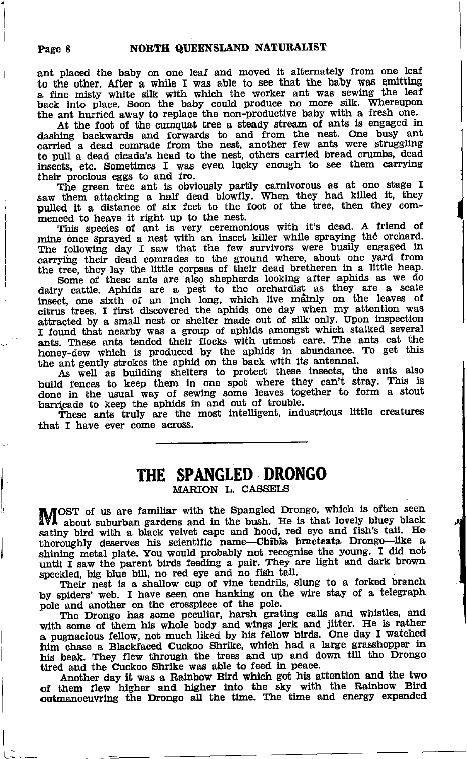ant placed the baby on one leaf and moved it altemately from one leaf to the other. After a while I was able to see that the baby was emitting a fine misty white silk with which the worker ant was sewing the leaf back into place. Soon the baby could produce no more silk. Whereupon the ant hurried away to replace the non-productive baby with a fresh one.

At the foot of the cumquat tree a steady stream of ants is engaged in dashing backwards and forwards to and from the nest. One busy ant carried a dead comrade from the nest, another few ants were struggling to pull a dead cicada's head to the nest, others carrled bread crumbs, dead lnsects, etc. Sometimes I was even lucky enough to see them carrying their precious eggs to and fro.

The green tree ant is obviously partly carnivorous as at one stage I<br>The green tree ant is obviously partly carnivorous as at one stage I saw them attacking a half dead blowfly. When they had killed it, they pulled tt a distance of six feet to the foot of the tree, then they commenced to heave it right up to the nest.

This species of ant is very ceremonious with it's dead. A friend of mine once sprayed a nest with an insect killer while spraying the orchard. The following day I saw that the few survivors were busily engaged in carrying their dead comrades to the ground where, about one yard from<br>the tree, they lay the little corpses of their dead bretheren in a little heap.

Some of-these ants are also shepherds looking after aphids as we do<br>dairy cattle. Aphids are a pest to the orchardist as they are a scale<br>insect, one sixth of an inch long, which live mainly on the leaves of citrus trees. I first discovered the aphids one day when my attention was attracted by a small nest or shelter made out of silk only. Upon inspection in found that nearby was a group of aphids amongst which stalked several<br>ants. These ants tended their flocks with utmost care. The ants eat their honey-dew which is produced by the aphids in abundance. To get this

the ant gently strokes the aphid on the back with its antennal.<br>As well as building shelters to protect these insects, the ants also build fences to keep them in one spot where they can't stray. This is done in the usual way of sewing some leaves together to form a stout barripade to keep the aphids in and out of trouble.

These ants truly are the most intelligent, industrious little creatures that I have ever come across.

#### THE SPANGLED DRONGO MARION L. CASSELS

OST of us are familiar with the Spangled Drongo, which is often seen IVI about suburban gardens and in the bush. He is that lovely bluey black satiny bird with a black velvet cape and hood, red eye and fish's tail. He but oughly deserves his scientific name—Chibia bracteata Drongo—like a shining metal plate. You would probably not recognise the young. I did not until I saw the parent birds feeding a pair. They are light and dark brown

speckled, big blue bill, no red eye and no fish-tail. Their nest is a shallow cup of vine tendrils, slung to a forked branch by spiders' web. I have seen one hanking on the wire stay of a telegraph by spiders' web. I have seen one hanking on the wire stay of a telegraph<br>pole and another on the crosspiece of the pole.<br>The Drongo has some peculiar, harsh grating calls and whistles, and

with some of them his whole body and wings jerk and jitter. He is rather <sup>a</sup>pugnacious fellow, not much liked by his fellow birds. one day I watched him chase a Blackfaced Cuckoo Shrike, which had a large grasshopper in his beak. They flew through the trees and up and down till the Drongo tired and the Cuckoo Shrike was able to feed in peace.

Another day it was a Rainbow Bird which got his attention and the two of them flew higher and higher into the sky with the Rainbow Bird outmanoeuvring the Drongo all the time. The time and energy expended

i.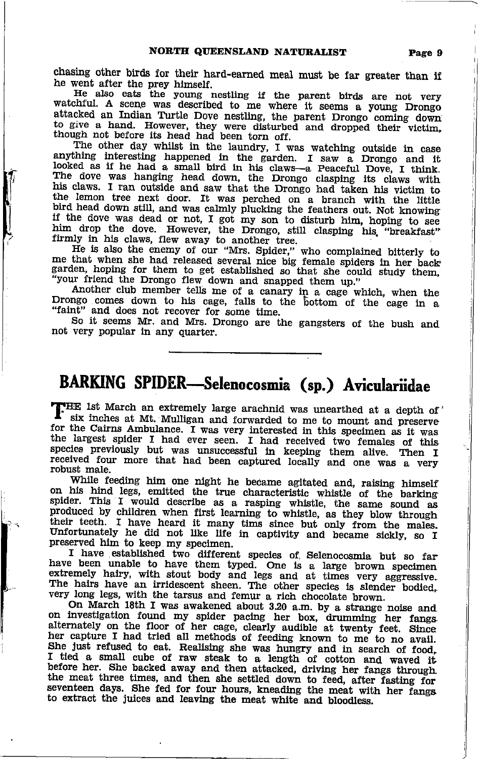chasing other birds for their hard-earned meal must be far greater than if<br>he went after the prey himself.<br>He also eats the young mestling if the parent birds are not very<br>watchful. A scene was described to me where it se

fl

I

He is also the enemy of our "Mrs. Spider," who complained bitterly to me that when she had released several nice big female spiders in her backgarden, hoping for them to get established so that she could study them, "your friend the Drongo flew down and snapped them up."<br>Another club member

So it seems Mr. and Mrs. Drongo are the gangsters of the bush and not very popular in any quarter.

# BARKING SPIDER-Selenocosmia (sp.) Aviculariidae

THE 1st March an extremely large arachnid was unearthed at a depth of 'six inches at Mt. Mulligan and forwarded to me to mount and preserve for the Cairns Ambulance. I was very interested in this specimen as it was<br>the largest spider I had ever seen. I had received two females of this<br>species previously but was unsuccessful in keeping them alive. Then I received four more that had been captured locally and one was a very robust male.

While feeding him one night he became agitated and, raising himself<br>his hind legs emitted the two characteristic which a little on his hind legs, emitted the true characteristic whistle of the barking<br>spider. This I would describe as a rasping whistle, the same sound as<br>produced by children when first learning to whistle, as they blow through<br>their their teeth. I have heard it many tims since but only from the males. Unfortunately he did not like life in captivity and became sickly, so I preserved him to keep my specimen.

I have established two different species of Selenocosmia but so far<br>have been unable to have them typed. One is a large brown specimen<br>extremely hairy, with stout body and legs and at times very aggressive.<br>The hairs have very long legs, with the tarsus and femur a rich chocolate brown.<br>On March 18th I was awakened about 3.20 a.m. by a strange noise and

On March 18th I was awakened about 3.20 a.m. by a strange noise and<br>on investigation found my spider pacing her box, drumming her fangs. her capture I had tried all methods of feeding known to me to no avail. She just refused to eat. Realising she was hungry and in search of food, I tied a small cube of raw steak to a length of cotton and waved it before he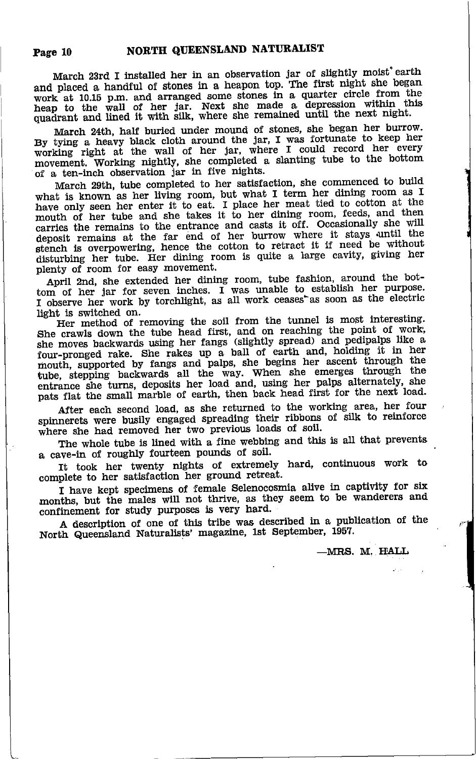March 23rd I installed her in an observation jar of slightly moist earth and placed a handful of stones in a heapon top. The first night she began work at 10.15 p.m. and arranged some stones in a quarter circle from the heap to the wall of her jar. Next she made a depression within this quadrant and lined it with silk, where she remained until the next night.

March 24th, half buried under mound of stones, she began her burrow. By tying a heavy black cloth around the jar, I was fortunate to keep her working right at the wall of her jar, where I could record her every movement. Working nightly, she completed a slanting tube to the bottom of a ten-inch observation jar in five nights.

March 29th, tube completed to her satisfaction, she commenced to build what is known as her living room, but what I term her dining room as I have only seen her enter it to eat. I place her meat tied to cotton at the mouth of her tube and she takes it to her dining room, feeds, and then carries the remains to the entrance and casts it off. Occasionally she will deposit remains at the far end of her burrow where it stays until the stench is overpowering, hence the cotton to retract it if need be without disturbing her tube. Her dining room is quite a large cavity, giving her plenty of room for easy movement.

April 2nd, she extended her dining room, tube fashion, around the bottom of her jar for seven inches. I was unable to establish her purpose. I observe her work by torchlight, as all work ceases as soon as the electric light is switched on.

Her method of removing the soil from the tunnel is most interesting. She crawls down the tube head first, and on reaching the point of work, she moves backwards using her fangs (slightly spread) and pedipalps like a four-pronged rake. She rakes up a ball of earth and, holding it in her mouth, supported by fangs and palps, she begins her ascent through the tube, stepping backwards all the way. When she emerges through the entrance she turns, deposits her load and, using her palps alternately, she pats flat the small marble of earth, then back head first for the next load.

After each second load, as she returned to the working area, her four spinnerets were busily engaged spreading their ribbons of silk to reinforce where she had removed her two previous loads of soil.

The whole tube is lined with a fine webbing and this is all that prevents a cave-in of roughly fourteen pounds of soil.

It took her twenty nights of extremely hard, continuous work to complete to her satisfaction her ground retreat.

I have kept specimens of female Selenocosmia alive in captivity for six months, but the males will not thrive, as they seem to be wanderers and confinement for study purposes is very hard.

A description of one of this tribe was described in a publication of the North Queensland Naturalists' magazine, 1st September, 1957.

-MRS. M. HALL

Page 10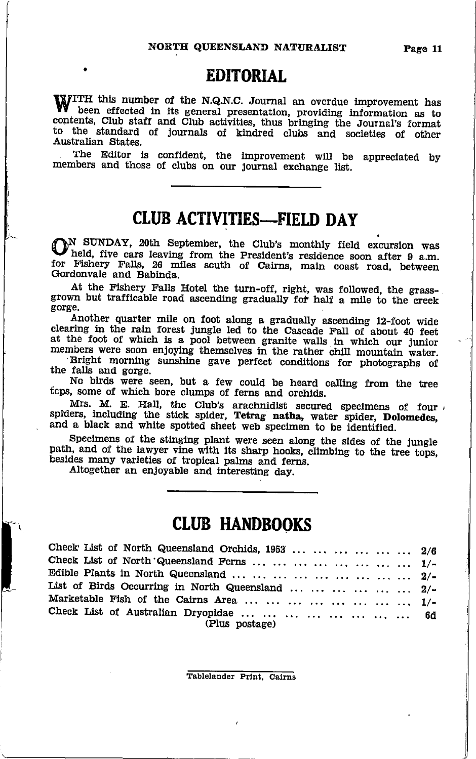Page 11

#### **EDITORIAL**

WITH this number of the N.Q.N.C. Journal an overdue improvement has been effected in its general presentation, providing information as to contents, Club staff and Club activities, thus bringing the Journal's format<br>to the standard of journals of kindred clubs and societies of other Australian States

The Editor is confident, the improvement will be appreciated by members and those of clubs on our journal exchange list.

## **CLUB ACTIVITIES-FIELD DAY**

N SUNDAY, 20th September, the Club's monthly field excursion was held, five cars leaving from the President's residence soon after 9 a.m. for Fishery Falls, 26 miles south of Cairns, main coast road, between Gordonvale and Babinda.

At the Fishery Falls Hotel the turn-off, right, was followed, the grassgrown but trafficable road ascending gradually for half a mile to the creek gorge.

Another quarter mile on foot along a gradually ascending 12-foot wide clearing in the rain forest jungle led to the Cascade Fall of about 40 feet at the foot of which is a pool between granite walls in which our junior members were soon enjoying themselves in the rather chill mountain water.

Bright morning sunshine gave perfect conditions for photographs of the falls and gorge.

No birds were seen, but a few could be heard calling from the tree tops, some of which bore clumps of ferns and orchids.

Mrs. M. E. Hall, the Club's arachnidist secured specimens of four spiders, including the stick spider, Tetrag natha, water spider, Dolomedes, and a black and white spotted sheet web specimen to be identified.

Specimens of the stinging plant were seen along the sides of the jungle path, and of the lawyer vine with its sharp hooks, climbing to the tree tops, besides many varieties of tropical palms and ferns.

Altogether an enjoyable and interesting day.

#### **CLUB HANDBOOKS**

| Check List of North Queensland Orchids, 1953       2/6 |  |
|--------------------------------------------------------|--|
| Check List of North Queensland Ferns         1/-       |  |
| Edible Plants in North Queensland          2/-         |  |
| List of Birds Occurring in North Queensland       2/-  |  |
| Marketable Fish of the Cairns Area         1/-         |  |
|                                                        |  |
| Check List of Australian Dryopidae         6d          |  |
| (Plus postage)                                         |  |

Tablelander Print, Cairns